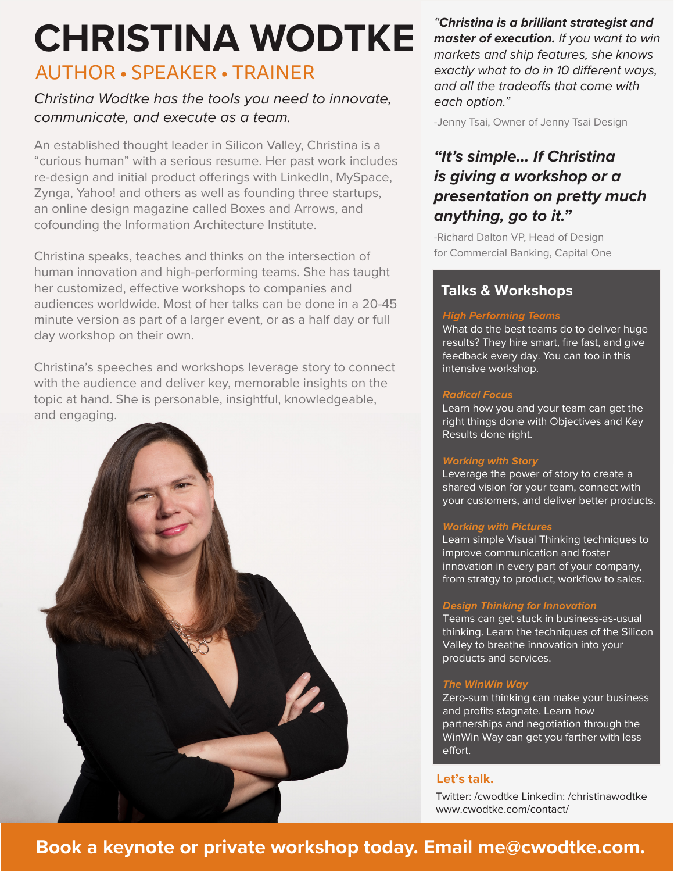# AUTHOR • SPEAKER • TRAINER **CHRISTINA WODTKE**

# *Christina Wodtke has the tools you need to innovate, communicate, and execute as a team.*

An established thought leader in Silicon Valley, Christina is a "curious human" with a serious resume. Her past work includes re-design and initial product offerings with LinkedIn, MySpace, Zynga, Yahoo! and others as well as founding three startups, an online design magazine called Boxes and Arrows, and cofounding the Information Architecture Institute.

Christina speaks, teaches and thinks on the intersection of human innovation and high-performing teams. She has taught her customized, effective workshops to companies and audiences worldwide. Most of her talks can be done in a 20-45 minute version as part of a larger event, or as a half day or full day workshop on their own.

Christina's speeches and workshops leverage story to connect with the audience and deliver key, memorable insights on the topic at hand. She is personable, insightful, knowledgeable, and engaging.



*"Christina is a brilliant strategist and master of execution. If you want to win markets and ship features, she knows exactly what to do in 10 different ways, and all the tradeoffs that come with each option."*

-Jenny Tsai, Owner of Jenny Tsai Design

# *"It's simple… If Christina is giving a workshop or a presentation on pretty much anything, go to it."*

-Richard Dalton VP, Head of Design for Commercial Banking, Capital One

# **Talks & Workshops**

#### *High Performing Teams*

What do the best teams do to deliver huge results? They hire smart, fire fast, and give feedback every day. You can too in this intensive workshop.

### **Radical Focus**

Learn how you and your team can get the right things done with Objectives and Key Results done right.

#### **Working with Story**

Leverage the power of story to create a shared vision for your team, connect with your customers, and deliver better products.

## **Working with Pictures**

Learn simple Visual Thinking techniques to improve communication and foster innovation in every part of your company, from stratgy to product, workflow to sales.

## **Design Thinking for Innovation**

Teams can get stuck in business-as-usual thinking. Learn the techniques of the Silicon Valley to breathe innovation into your products and services.

## **The WinWin Way**

Zero-sum thinking can make your business and profits stagnate. Learn how partnerships and negotiation through the WinWin Way can get you farther with less effort.

## **Let's talk.**

Twitter: /cwodtke Linkedin: /christinawodtke www.cwodtke.com/contact/

# **Book a keynote or private workshop today. Email me@cwodtke.com.**